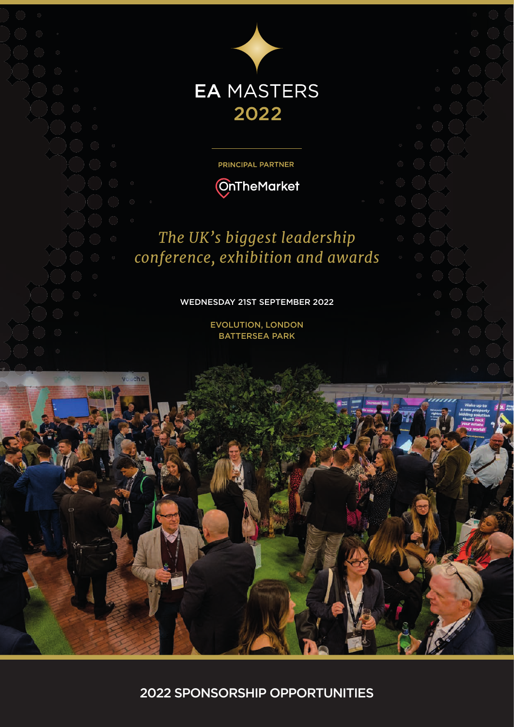

PRINCIPAL PARTNER



# *The UK's biggest leadership conference, exhibition and awards*

#### WEDNESDAY 21ST SEPTEMBER 2022

EVOLUTION, LONDON BATTERSEA PARK

2022 SPONSORSHIP OPPORTUNITIES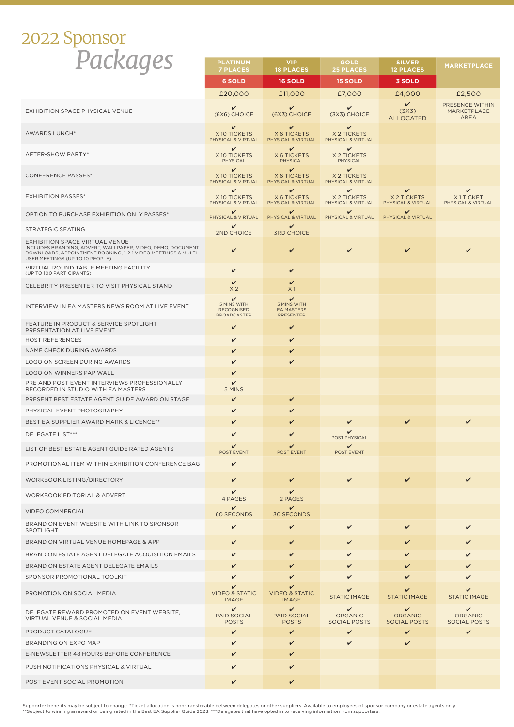# *Packages* 2022 Sponsor

| Puckuye:                                                                                                                                                                                          | <b>PLATINUM</b><br><b>7 PLACES</b>                          | <b>VIP</b><br><b>18 PLACES</b>                            | <b>GOLD</b><br><b>25 PLACES</b>                        | <b>SILVER</b><br><b>12 PLACES</b>                     | <b>MARKETPLACE</b>                                    |
|---------------------------------------------------------------------------------------------------------------------------------------------------------------------------------------------------|-------------------------------------------------------------|-----------------------------------------------------------|--------------------------------------------------------|-------------------------------------------------------|-------------------------------------------------------|
|                                                                                                                                                                                                   | <b>6 SOLD</b>                                               | <b>16 SOLD</b>                                            | <b>15 SOLD</b>                                         | 3 SOLD                                                |                                                       |
|                                                                                                                                                                                                   | £20,000                                                     | £11,000                                                   | £7,000                                                 | £4,000                                                | £2,500                                                |
| <b>EXHIBITION SPACE PHYSICAL VENUE</b>                                                                                                                                                            | v<br>(6X6) CHOICE                                           | v<br>(6X3) CHOICE                                         | $\checkmark$<br>(3X3) CHOICE                           | V<br>(3X3)<br><b>ALLOCATED</b>                        | PRESENCE WITHIN<br>MARKETPLACE<br><b>AREA</b>         |
| <b>AWARDS LUNCH*</b>                                                                                                                                                                              | V<br>X10 TICKETS<br>PHYSICAL & VIRTUAL                      | v<br><b>X 6 TICKETS</b><br>PHYSICAL & VIRTUAL             | v<br>X 2 TICKETS<br>PHYSICAL & VIRTUAL                 |                                                       |                                                       |
| AFTER-SHOW PARTY*                                                                                                                                                                                 | v<br>X 10 TICKETS<br>PHYSICAL                               | v<br><b>X 6 TICKETS</b><br>PHYSICAL                       | $\checkmark$<br>X 2 TICKETS<br>PHYSICAL                |                                                       |                                                       |
| <b>CONFERENCE PASSES*</b>                                                                                                                                                                         | $\checkmark$<br>X10 TICKETS<br>PHYSICAL & VIRTUAL           | v<br><b>X 6 TICKETS</b><br>PHYSICAL & VIRTUAL             | $\checkmark$<br>X 2 TICKETS<br>PHYSICAL & VIRTUAL      |                                                       |                                                       |
| <b>EXHIBITION PASSES*</b>                                                                                                                                                                         | v<br>X 10 TICKETS<br>PHYSICAL & VIRTUAL                     | v<br>X 6 TICKETS<br>PHYSICAL & VIRTUAL                    | $\checkmark$<br><b>X2TICKETS</b><br>PHYSICAL & VIRTUAL | v<br>X 2 TICKETS<br>PHYSICAL & VIRTUAL                | ✓<br>X1TICKET<br>PHYSICAL & VIRTUAL                   |
| OPTION TO PURCHASE EXHIBITION ONLY PASSES*                                                                                                                                                        | v<br>PHYSICAL & VIRTUAL                                     | v<br>PHYSICAL & VIRTUAL                                   | $\checkmark$<br>PHYSICAL & VIRTUAL                     | v<br>PHYSICAL & VIRTUAL                               |                                                       |
| <b>STRATEGIC SEATING</b>                                                                                                                                                                          | ✓<br>2ND CHOICE                                             | v<br><b>3RD CHOICE</b>                                    |                                                        |                                                       |                                                       |
| EXHIBITION SPACE VIRTUAL VENUE<br>INCLUDES BRANDING, ADVERT, WALLPAPER, VIDEO, DEMO, DOCUMENT<br>DOWNLOADS, APPOINTMENT BOOKING, 1-2-1 VIDEO MEETINGS & MULTI-<br>USER MEETINGS (UP TO 10 PEOPLE) | V                                                           | V                                                         | $\checkmark$                                           | $\checkmark$                                          | $\checkmark$                                          |
| VIRTUAL ROUND TABLE MEETING FACILITY<br>(UP TO 100 PARTICIPANTS)                                                                                                                                  | v                                                           | V                                                         |                                                        |                                                       |                                                       |
| CELEBRITY PRESENTER TO VISIT PHYSICAL STAND                                                                                                                                                       | V<br>X <sub>2</sub>                                         | v<br>X <sub>1</sub>                                       |                                                        |                                                       |                                                       |
| INTERVIEW IN EA MASTERS NEWS ROOM AT LIVE EVENT                                                                                                                                                   | v<br>5 MINS WITH<br><b>RECOGNISED</b><br><b>BROADCASTER</b> | v<br>5 MINS WITH<br><b>EA MASTERS</b><br>PRESENTER        |                                                        |                                                       |                                                       |
| FEATURE IN PRODUCT & SERVICE SPOTLIGHT<br>PRESENTATION AT LIVE EVENT                                                                                                                              | v                                                           | V                                                         |                                                        |                                                       |                                                       |
| <b>HOST REFERENCES</b>                                                                                                                                                                            | v                                                           | V                                                         |                                                        |                                                       |                                                       |
| NAME CHECK DURING AWARDS                                                                                                                                                                          | v                                                           | V                                                         |                                                        |                                                       |                                                       |
| LOGO ON SCREEN DURING AWARDS                                                                                                                                                                      | V                                                           | V                                                         |                                                        |                                                       |                                                       |
| LOGO ON WINNERS PAP WALL                                                                                                                                                                          | v                                                           |                                                           |                                                        |                                                       |                                                       |
| PRE AND POST EVENT INTERVIEWS PROFESSIONALLY<br>RECORDED IN STUDIO WITH EA MASTERS                                                                                                                | V<br>5 MINS                                                 |                                                           |                                                        |                                                       |                                                       |
| PRESENT BEST ESTATE AGENT GUIDE AWARD ON STAGE                                                                                                                                                    | v                                                           | v                                                         |                                                        |                                                       |                                                       |
| PHYSICAL EVENT PHOTOGRAPHY                                                                                                                                                                        | V                                                           | ✓                                                         |                                                        |                                                       |                                                       |
| BEST EA SUPPLIER AWARD MARK & LICENCE**                                                                                                                                                           | ✓                                                           |                                                           |                                                        |                                                       |                                                       |
| DELEGATE LIST***                                                                                                                                                                                  | V                                                           |                                                           | POST PHYSICAL                                          |                                                       |                                                       |
| LIST OF BEST ESTATE AGENT GUIDE RATED AGENTS                                                                                                                                                      | POST EVENT                                                  | POST EVENT                                                | $\checkmark$<br>POST EVENT                             |                                                       |                                                       |
| PROMOTIONAL ITEM WITHIN EXHIBITION CONFERENCE BAG                                                                                                                                                 | ✓                                                           |                                                           |                                                        |                                                       |                                                       |
| WORKBOOK LISTING/DIRECTORY                                                                                                                                                                        | v                                                           | ✓                                                         | v                                                      |                                                       |                                                       |
| WORKBOOK EDITORIAL & ADVERT                                                                                                                                                                       | ✓<br>4 PAGES                                                | ✓<br>2 PAGES                                              |                                                        |                                                       |                                                       |
| <b>VIDEO COMMERCIAL</b>                                                                                                                                                                           | V<br><b>60 SECONDS</b>                                      | v<br><b>30 SECONDS</b>                                    |                                                        |                                                       |                                                       |
| BRAND ON EVENT WEBSITE WITH LINK TO SPONSOR<br>SPOTLIGHT                                                                                                                                          | V                                                           | $\checkmark$                                              | V                                                      | ✓                                                     |                                                       |
| BRAND ON VIRTUAL VENUE HOMEPAGE & APP                                                                                                                                                             | v                                                           |                                                           | v                                                      |                                                       |                                                       |
| BRAND ON ESTATE AGENT DELEGATE ACQUISITION EMAILS                                                                                                                                                 | ✓                                                           |                                                           |                                                        |                                                       |                                                       |
| BRAND ON ESTATE AGENT DELEGATE EMAILS                                                                                                                                                             | v                                                           |                                                           | ✓                                                      |                                                       |                                                       |
| SPONSOR PROMOTIONAL TOOLKIT                                                                                                                                                                       | V                                                           |                                                           | ✓                                                      |                                                       |                                                       |
| PROMOTION ON SOCIAL MEDIA                                                                                                                                                                         | v<br><b>VIDEO &amp; STATIC</b><br><b>IMAGE</b>              | v<br><b>VIDEO &amp; STATIC</b><br><b>IMAGE</b>            | <b>STATIC IMAGE</b>                                    | <b>STATIC IMAGE</b>                                   | <b>STATIC IMAGE</b>                                   |
| DELEGATE REWARD PROMOTED ON EVENT WEBSITE,<br>VIRTUAL VENUE & SOCIAL MEDIA                                                                                                                        | $\checkmark$<br>PAID SOCIAL<br><b>POSTS</b>                 | $\boldsymbol{\mathcal{V}}$<br>PAID SOCIAL<br><b>POSTS</b> | $\checkmark$<br><b>ORGANIC</b><br><b>SOCIAL POSTS</b>  | $\checkmark$<br><b>ORGANIC</b><br><b>SOCIAL POSTS</b> | $\checkmark$<br><b>ORGANIC</b><br><b>SOCIAL POSTS</b> |
| PRODUCT CATALOGUE                                                                                                                                                                                 | V                                                           | V                                                         | V                                                      | V                                                     | $\checkmark$                                          |
| BRANDING ON EXPO MAP                                                                                                                                                                              | v                                                           |                                                           | V                                                      | V                                                     |                                                       |
| E-NEWSLETTER 48 HOURS BEFORE CONFERENCE                                                                                                                                                           | v                                                           | ✓                                                         |                                                        |                                                       |                                                       |
| PUSH NOTIFICATIONS PHYSICAL & VIRTUAL                                                                                                                                                             | ✓                                                           |                                                           |                                                        |                                                       |                                                       |
| POST EVENT SOCIAL PROMOTION                                                                                                                                                                       | v                                                           | v                                                         |                                                        |                                                       |                                                       |

Supporter benefits may be subject to change. \*Ticket allocation is non-transferable between delegates or other suppliers. Available to employees of sponsor company or estate agents only.<br>\*\*Subject to winning an award or be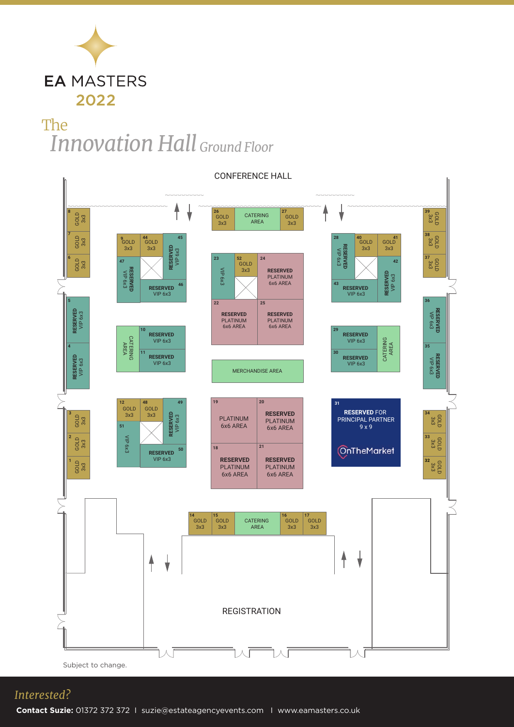

# *Innovation Hall Ground Floor* The



#### *Interested?*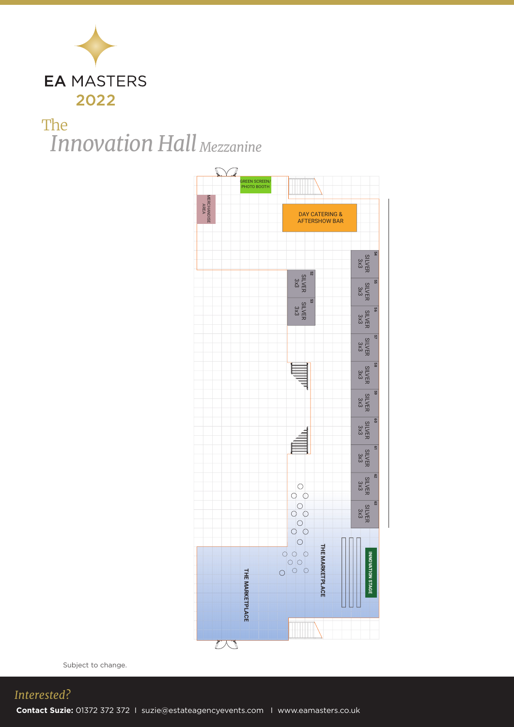

# *Innovation Hall Mezzanine*The



Subject to change.